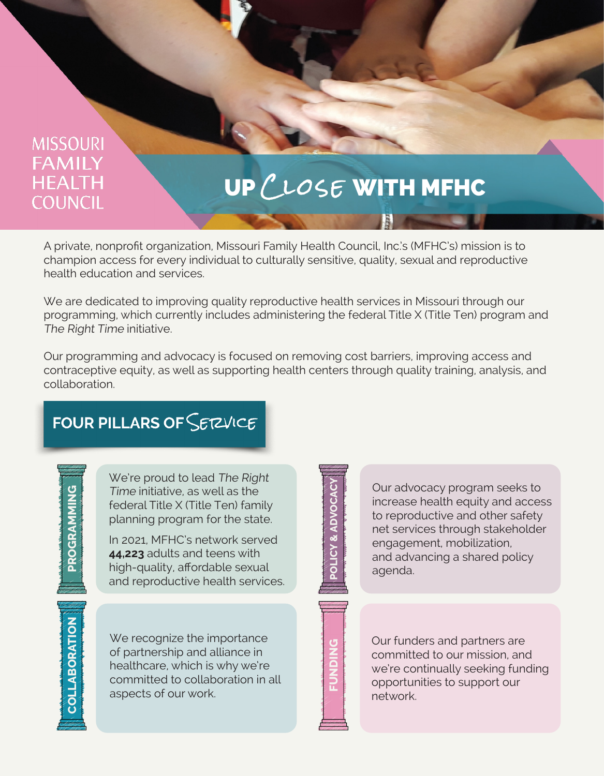#### **MISSOURI FAMILY HEALTH COUNCIL**

# UP CLOSE WITH MFHC

A private, nonprofit organization, Missouri Family Health Council, Inc.'s (MFHC's) mission is to champion access for every individual to culturally sensitive, quality, sexual and reproductive health education and services.

We are dedicated to improving quality reproductive health services in Missouri through our programming, which currently includes administering the federal Title X (Title Ten) program and The Right Time initiative.

Our programming and advocacy is focused on removing cost barriers, improving access and contraceptive equity, as well as supporting health centers through quality training, analysis, and collaboration.

### FOUR PILLARS OF SETZVICE

**PROGRAMMING PROGRAMMING**

**COLLABORATION**

**COLLABORATION** 

We're proud to lead The Right Time initiative, as well as the federal Title X (Title Ten) family planning program for the state.

In 2021, MFHC's network served **44,223** adults and teens with high-quality, affordable sexual and reproductive health services.

We recognize the importance of partnership and alliance in healthcare, which is why we're committed to collaboration in all aspects of our work.

**POLICY & ADVOCACY POLICY & ADVOCA** 

Our advocacy program seeks to increase health equity and access to reproductive and other safety net services through stakeholder engagement, mobilization, and advancing a shared policy agenda.

**UNDING** 

Our funders and partners are committed to our mission, and we're continually seeking funding opportunities to support our network.